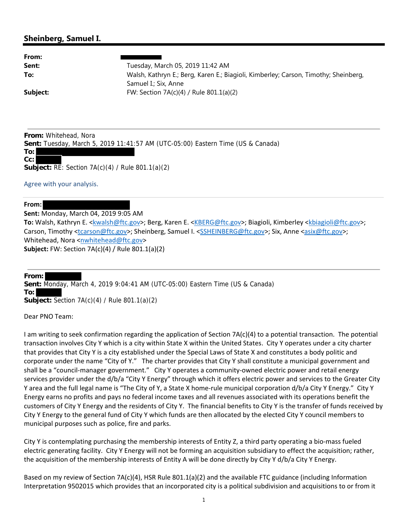## **Sheinberg, Samuel I.**

| From:    |                                                                                     |
|----------|-------------------------------------------------------------------------------------|
| Sent:    | Tuesday, March 05, 2019 11:42 AM                                                    |
| To:      | Walsh, Kathryn E.; Berg, Karen E.; Biagioli, Kimberley; Carson, Timothy; Sheinberg, |
|          | Samuel I.: Six. Anne                                                                |
| Subject: | FW: Section $7A(c)(4)$ / Rule $801.1(a)(2)$                                         |

**From:** Whitehead, Nora

**Sent:** Tuesday, March 5, 2019 11:41:57 AM (UTC-05:00) Eastern Time (US & Canada)

**To: Cc:**

**Subject:** RE: Section 7A(c)(4) / Rule 801.1(a)(2)

Agree with your analysis.

## **From:**

## **Sent:** Monday, March 04, 2019 9:05 AM

**To:** Walsh, Kathryn E. <kwalsh@ftc.gov>; Berg, Karen E. <KBERG@ftc.gov>; Biagioli, Kimberley <kbiagioli@ftc.gov>; Carson, Timothy <tcarson@ftc.gov>; Sheinberg, Samuel I. <SSHEINBERG@ftc.gov>; Six, Anne <asix@ftc.gov>; Whitehead, Nora <nwhitehead@ftc.gov> **Subject:** FW: Section 7A(c)(4) / Rule 801.1(a)(2)

**From:**

**Sent:** Monday, March 4, 2019 9:04:41 AM (UTC-05:00) Eastern Time (US & Canada) **To: Subject:** Section 7A(c)(4) / Rule 801.1(a)(2)

Dear PNO Team:

I am writing to seek confirmation regarding the application of Section 7A(c)(4) to a potential transaction. The potential transaction involves City Y which is a city within State X within the United States. City Y operates under a city charter that provides that City Y is a city established under the Special Laws of State X and constitutes a body politic and corporate under the name "City of Y." The charter provides that City Y shall constitute a municipal government and shall be a "council-manager government." City Y operates a community-owned electric power and retail energy services provider under the d/b/a "City Y Energy" through which it offers electric power and services to the Greater City Y area and the full legal name is "The City of Y, a State X home-rule municipal corporation d/b/a City Y Energy." City Y Energy earns no profits and pays no federal income taxes and all revenues associated with its operations benefit the customers of City Y Energy and the residents of City Y. The financial benefits to City Y is the transfer of funds received by City Y Energy to the general fund of City Y which funds are then allocated by the elected City Y council members to municipal purposes such as police, fire and parks.

City Y is contemplating purchasing the membership interests of Entity Z, a third party operating a bio‐mass fueled electric generating facility. City Y Energy will not be forming an acquisition subsidiary to effect the acquisition; rather, the acquisition of the membership interests of Entity A will be done directly by City Y d/b/a City Y Energy.

Based on my review of Section 7A(c)(4), HSR Rule 801.1(a)(2) and the available FTC guidance (including Information Interpretation 9502015 which provides that an incorporated city is a political subdivision and acquisitions to or from it